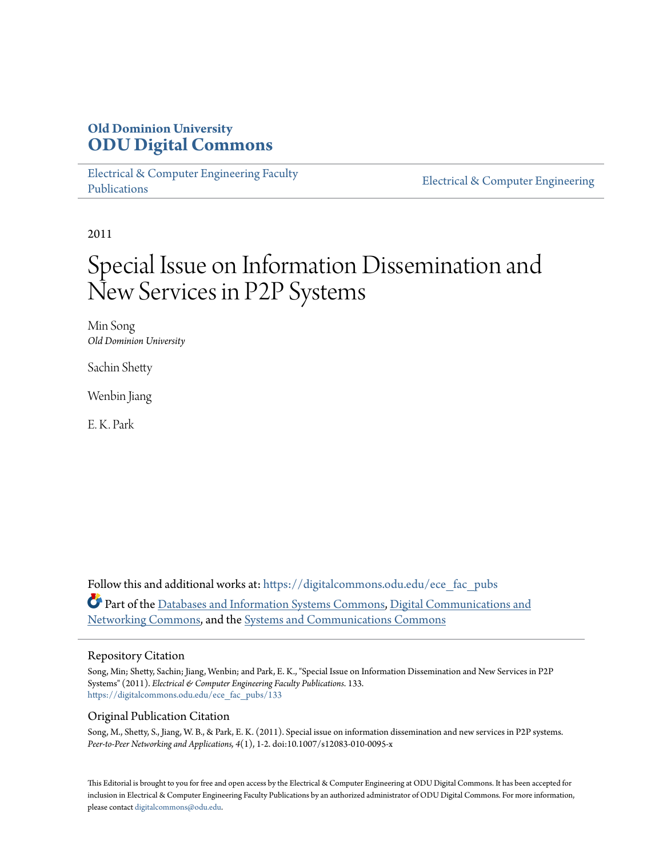### **Old Dominion University [ODU Digital Commons](https://digitalcommons.odu.edu?utm_source=digitalcommons.odu.edu%2Fece_fac_pubs%2F133&utm_medium=PDF&utm_campaign=PDFCoverPages)**

[Electrical & Computer Engineering Faculty](https://digitalcommons.odu.edu/ece_fac_pubs?utm_source=digitalcommons.odu.edu%2Fece_fac_pubs%2F133&utm_medium=PDF&utm_campaign=PDFCoverPages) [Publications](https://digitalcommons.odu.edu/ece_fac_pubs?utm_source=digitalcommons.odu.edu%2Fece_fac_pubs%2F133&utm_medium=PDF&utm_campaign=PDFCoverPages)

[Electrical & Computer Engineering](https://digitalcommons.odu.edu/ece?utm_source=digitalcommons.odu.edu%2Fece_fac_pubs%2F133&utm_medium=PDF&utm_campaign=PDFCoverPages)

2011

# Special Issue on Information Dissemination and New Services in P2P Systems

Min Song *Old Dominion University*

Sachin Shetty

Wenbin Jiang

E. K. Park

Follow this and additional works at: [https://digitalcommons.odu.edu/ece\\_fac\\_pubs](https://digitalcommons.odu.edu/ece_fac_pubs?utm_source=digitalcommons.odu.edu%2Fece_fac_pubs%2F133&utm_medium=PDF&utm_campaign=PDFCoverPages) Part of the [Databases and Information Systems Commons,](http://network.bepress.com/hgg/discipline/145?utm_source=digitalcommons.odu.edu%2Fece_fac_pubs%2F133&utm_medium=PDF&utm_campaign=PDFCoverPages) [Digital Communications and](http://network.bepress.com/hgg/discipline/262?utm_source=digitalcommons.odu.edu%2Fece_fac_pubs%2F133&utm_medium=PDF&utm_campaign=PDFCoverPages) [Networking Commons](http://network.bepress.com/hgg/discipline/262?utm_source=digitalcommons.odu.edu%2Fece_fac_pubs%2F133&utm_medium=PDF&utm_campaign=PDFCoverPages), and the [Systems and Communications Commons](http://network.bepress.com/hgg/discipline/276?utm_source=digitalcommons.odu.edu%2Fece_fac_pubs%2F133&utm_medium=PDF&utm_campaign=PDFCoverPages)

#### Repository Citation

Song, Min; Shetty, Sachin; Jiang, Wenbin; and Park, E. K., "Special Issue on Information Dissemination and New Services in P2P Systems" (2011). *Electrical & Computer Engineering Faculty Publications*. 133. [https://digitalcommons.odu.edu/ece\\_fac\\_pubs/133](https://digitalcommons.odu.edu/ece_fac_pubs/133?utm_source=digitalcommons.odu.edu%2Fece_fac_pubs%2F133&utm_medium=PDF&utm_campaign=PDFCoverPages)

#### Original Publication Citation

Song, M., Shetty, S., Jiang, W. B., & Park, E. K. (2011). Special issue on information dissemination and new services in P2P systems. *Peer-to-Peer Networking and Applications, 4*(1), 1-2. doi:10.1007/s12083-010-0095-x

This Editorial is brought to you for free and open access by the Electrical & Computer Engineering at ODU Digital Commons. It has been accepted for inclusion in Electrical & Computer Engineering Faculty Publications by an authorized administrator of ODU Digital Commons. For more information, please contact [digitalcommons@odu.edu](mailto:digitalcommons@odu.edu).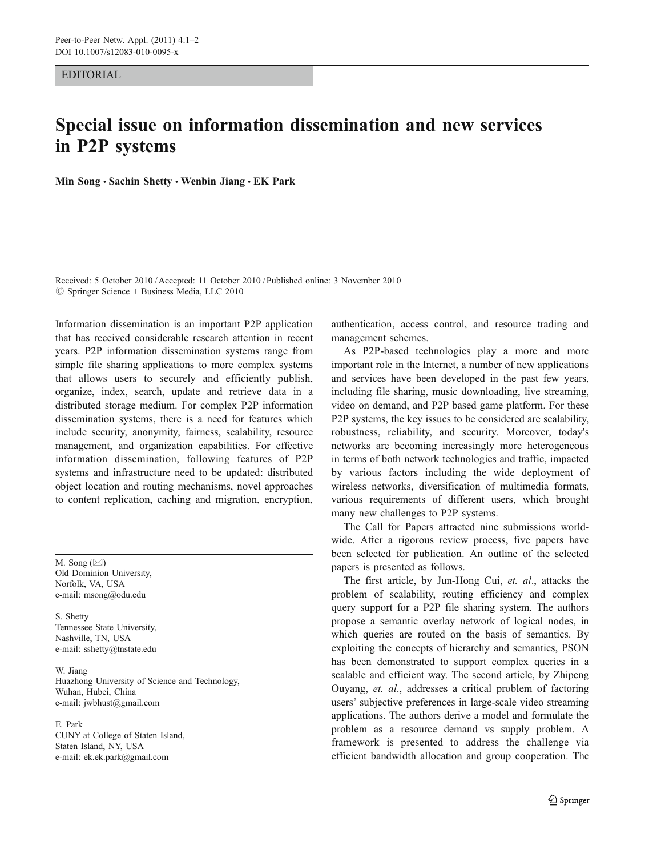#### EDITORIAL

## Special issue on information dissemination and new services in P2P systems

Min Song · Sachin Shetty · Wenbin Jiang · EK Park

Received: 5 October 2010 /Accepted: 11 October 2010 / Published online: 3 November 2010 © Springer Science + Business Media, LLC 2010

Information dissemination is an important P2P application that has received considerable research attention in recent years. P2P information dissemination systems range from simple file sharing applications to more complex systems that allows users to securely and efficiently publish, organize, index, search, update and retrieve data in a distributed storage medium. For complex P2P information dissemination systems, there is a need for features which include security, anonymity, fairness, scalability, resource management, and organization capabilities. For effective information dissemination, following features of P2P systems and infrastructure need to be updated: distributed object location and routing mechanisms, novel approaches to content replication, caching and migration, encryption,

M. Song  $(\boxtimes)$ Old Dominion University, Norfolk, VA, USA e-mail: msong@odu.edu

S. Shetty Tennessee State University, Nashville, TN, USA e-mail: sshetty@tnstate.edu

W. Jiang Huazhong University of Science and Technology, Wuhan, Hubei, China e-mail: jwbhust@gmail.com

#### E. Park

CUNY at College of Staten Island, Staten Island, NY, USA e-mail: ek.ek.park@gmail.com

authentication, access control, and resource trading and management schemes.

As P2P-based technologies play a more and more important role in the Internet, a number of new applications and services have been developed in the past few years, including file sharing, music downloading, live streaming, video on demand, and P2P based game platform. For these P2P systems, the key issues to be considered are scalability, robustness, reliability, and security. Moreover, today's networks are becoming increasingly more heterogeneous in terms of both network technologies and traffic, impacted by various factors including the wide deployment of wireless networks, diversification of multimedia formats, various requirements of different users, which brought many new challenges to P2P systems.

The Call for Papers attracted nine submissions worldwide. After a rigorous review process, five papers have been selected for publication. An outline of the selected papers is presented as follows.

The first article, by Jun-Hong Cui, et. al., attacks the problem of scalability, routing efficiency and complex query support for a P2P file sharing system. The authors propose a semantic overlay network of logical nodes, in which queries are routed on the basis of semantics. By exploiting the concepts of hierarchy and semantics, PSON has been demonstrated to support complex queries in a scalable and efficient way. The second article, by Zhipeng Ouyang, et. al., addresses a critical problem of factoring users' subjective preferences in large-scale video streaming applications. The authors derive a model and formulate the problem as a resource demand vs supply problem. A framework is presented to address the challenge via efficient bandwidth allocation and group cooperation. The